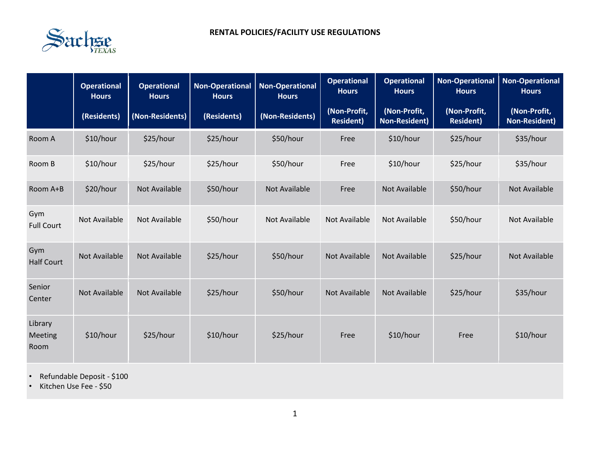

|                            | <b>Operational</b><br><b>Hours</b> | <b>Operational</b><br><b>Hours</b> | <b>Non-Operational</b><br><b>Hours</b> | <b>Non-Operational</b><br><b>Hours</b> | <b>Operational</b><br><b>Hours</b> | <b>Operational</b><br><b>Hours</b> | <b>Non-Operational</b><br><b>Hours</b> | <b>Non-Operational</b><br><b>Hours</b> |
|----------------------------|------------------------------------|------------------------------------|----------------------------------------|----------------------------------------|------------------------------------|------------------------------------|----------------------------------------|----------------------------------------|
|                            | (Residents)                        | (Non-Residents)                    | (Residents)                            | (Non-Residents)                        | (Non-Profit,<br><b>Resident)</b>   | (Non-Profit,<br>Non-Resident)      | (Non-Profit,<br><b>Resident)</b>       | (Non-Profit,<br><b>Non-Resident)</b>   |
| Room A                     | \$10/hour                          | \$25/hour                          | \$25/hour                              | \$50/hour                              | Free                               | \$10/hour                          | \$25/hour                              | \$35/hour                              |
| Room B                     | \$10/hour                          | \$25/hour                          | \$25/hour                              | \$50/hour                              | Free                               | \$10/hour                          | \$25/hour                              | \$35/hour                              |
| Room A+B                   | \$20/hour                          | Not Available                      | \$50/hour                              | Not Available                          | Free                               | Not Available                      | \$50/hour                              | Not Available                          |
| Gym<br><b>Full Court</b>   | Not Available                      | Not Available                      | \$50/hour                              | Not Available                          | <b>Not Available</b>               | Not Available                      | \$50/hour                              | Not Available                          |
| Gym<br><b>Half Court</b>   | <b>Not Available</b>               | <b>Not Available</b>               | \$25/hour                              | \$50/hour                              | <b>Not Available</b>               | Not Available                      | \$25/hour                              | Not Available                          |
| Senior<br>Center           | <b>Not Available</b>               | <b>Not Available</b>               | \$25/hour                              | \$50/hour                              | <b>Not Available</b>               | <b>Not Available</b>               | \$25/hour                              | \$35/hour                              |
| Library<br>Meeting<br>Room | \$10/hour                          | \$25/hour                          | \$10/hour                              | \$25/hour                              | Free                               | \$10/hour                          | Free                                   | \$10/hour                              |

• Refundable Deposit - \$100

• Kitchen Use Fee - \$50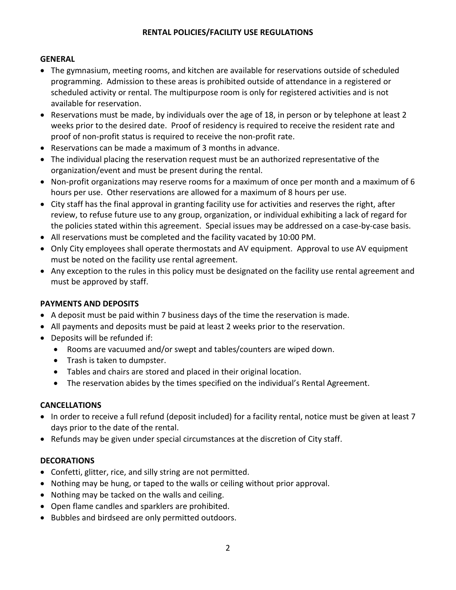# **RENTAL POLICIES/FACILITY USE REGULATIONS**

# **GENERAL**

- The gymnasium, meeting rooms, and kitchen are available for reservations outside of scheduled programming. Admission to these areas is prohibited outside of attendance in a registered or scheduled activity or rental. The multipurpose room is only for registered activities and is not available for reservation.
- Reservations must be made, by individuals over the age of 18, in person or by telephone at least 2 weeks prior to the desired date. Proof of residency is required to receive the resident rate and proof of non-profit status is required to receive the non-profit rate.
- Reservations can be made a maximum of 3 months in advance.
- The individual placing the reservation request must be an authorized representative of the organization/event and must be present during the rental.
- Non-profit organizations may reserve rooms for a maximum of once per month and a maximum of 6 hours per use. Other reservations are allowed for a maximum of 8 hours per use.
- City staff has the final approval in granting facility use for activities and reserves the right, after review, to refuse future use to any group, organization, or individual exhibiting a lack of regard for the policies stated within this agreement. Special issues may be addressed on a case-by-case basis.
- All reservations must be completed and the facility vacated by 10:00 PM.
- Only City employees shall operate thermostats and AV equipment. Approval to use AV equipment must be noted on the facility use rental agreement.
- Any exception to the rules in this policy must be designated on the facility use rental agreement and must be approved by staff.

# **PAYMENTS AND DEPOSITS**

- A deposit must be paid within 7 business days of the time the reservation is made.
- All payments and deposits must be paid at least 2 weeks prior to the reservation.
- Deposits will be refunded if:
	- Rooms are vacuumed and/or swept and tables/counters are wiped down.
	- Trash is taken to dumpster.
	- Tables and chairs are stored and placed in their original location.
	- The reservation abides by the times specified on the individual's Rental Agreement.

# **CANCELLATIONS**

- In order to receive a full refund (deposit included) for a facility rental, notice must be given at least 7 days prior to the date of the rental.
- Refunds may be given under special circumstances at the discretion of City staff.

# **DECORATIONS**

- Confetti, glitter, rice, and silly string are not permitted.
- Nothing may be hung, or taped to the walls or ceiling without prior approval.
- Nothing may be tacked on the walls and ceiling.
- Open flame candles and sparklers are prohibited.
- Bubbles and birdseed are only permitted outdoors.